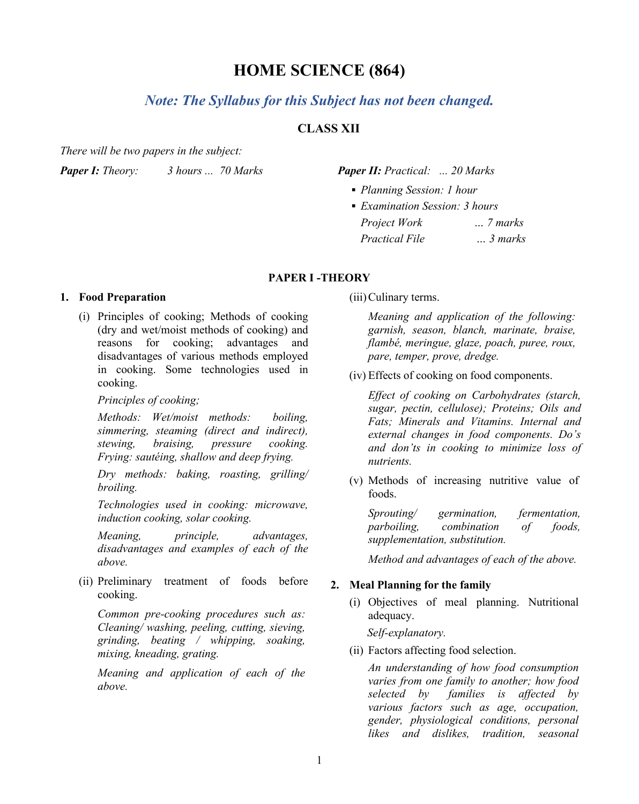# **HOME SCIENCE (864)**

# *Note: The Syllabus for this Subject has not been changed.*

# **CLASS XII**

*There will be two papers in the subject:*

*Paper I: Theory: 3 hours ... 70 Marks Paper II: Practical: ... 20 Marks*

- *Planning Session: 1 hour*
- *Examination Session: 3 hours Project Work … 7 marks Practical File … 3 marks*

## **PAPER I -THEORY**

#### **1. Food Preparation**

(i) Principles of cooking; Methods of cooking (dry and wet/moist methods of cooking) and reasons for cooking; advantages and disadvantages of various methods employed in cooking. Some technologies used in cooking.

*Principles of cooking;* 

*Methods: Wet/moist methods: boiling, simmering, steaming (direct and indirect), stewing, braising, pressure cooking. Frying: sautéing, shallow and deep frying.*

*Dry methods: baking, roasting, grilling/ broiling.* 

*Technologies used in cooking: microwave, induction cooking, solar cooking.*

*Meaning, principle, advantages, disadvantages and examples of each of the above.*

(ii) Preliminary treatment of foods before cooking.

*Common pre-cooking procedures such as: Cleaning/ washing, peeling, cutting, sieving, grinding, beating / whipping, soaking, mixing, kneading, grating.* 

*Meaning and application of each of the above.*

(iii)Culinary terms.

*Meaning and application of the following: garnish, season, blanch, marinate, braise, flambé, meringue, glaze, poach, puree, roux, pare, temper, prove, dredge.*

(iv) Effects of cooking on food components.

*Effect of cooking on Carbohydrates (starch, sugar, pectin, cellulose); Proteins; Oils and Fats; Minerals and Vitamins. Internal and external changes in food components. Do's and don'ts in cooking to minimize loss of nutrients.*

(v) Methods of increasing nutritive value of foods.

*Sprouting/ germination, fermentation, parboiling, combination of foods, supplementation, substitution.* 

*Method and advantages of each of the above.*

#### **2. Meal Planning for the family**

(i) Objectives of meal planning. Nutritional adequacy.

*Self-explanatory.* 

(ii) Factors affecting food selection.

*An understanding of how food consumption varies from one family to another; how food selected by families is affected by various factors such as age, occupation, gender, physiological conditions, personal likes and dislikes, tradition, seasonal*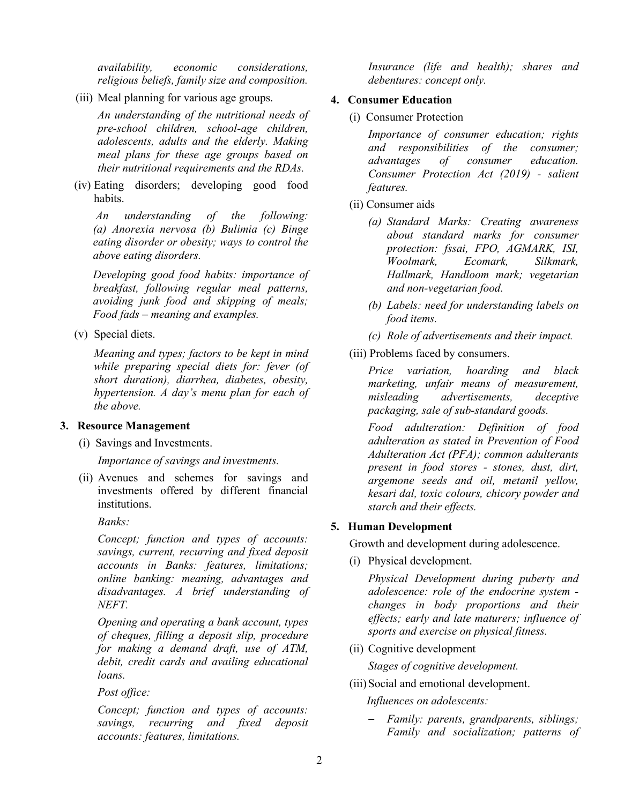*availability, economic considerations, religious beliefs, family size and composition.*

(iii) Meal planning for various age groups.

*An understanding of the nutritional needs of pre-school children, school-age children, adolescents, adults and the elderly. Making meal plans for these age groups based on their nutritional requirements and the RDAs.* 

(iv) Eating disorders; developing good food habits.

*An understanding of the following: (a) Anorexia nervosa (b) Bulimia (c) Binge eating disorder or obesity; ways to control the above eating disorders.*

*Developing good food habits: importance of breakfast, following regular meal patterns, avoiding junk food and skipping of meals; Food fads – meaning and examples.*

(v) Special diets.

*Meaning and types; factors to be kept in mind while preparing special diets for: fever (of short duration), diarrhea, diabetes, obesity, hypertension. A day's menu plan for each of the above.*

#### **3. Resource Management**

(i) Savings and Investments.

*Importance of savings and investments.* 

(ii) Avenues and schemes for savings and investments offered by different financial institutions.

*Banks:*

*Concept; function and types of accounts: savings, current, recurring and fixed deposit accounts in Banks: features, limitations; online banking: meaning, advantages and disadvantages. A brief understanding of NEFT.*

*Opening and operating a bank account, types of cheques, filling a deposit slip, procedure for making a demand draft, use of ATM, debit, credit cards and availing educational loans.*

*Post office:*

*Concept; function and types of accounts: savings, recurring and fixed deposit accounts: features, limitations.*

*Insurance (life and health); shares and debentures: concept only.*

#### **4. Consumer Education**

(i) Consumer Protection

*Importance of consumer education; rights and responsibilities of the consumer; advantages of consumer education. Consumer Protection Act (2019) - salient features.*

- (ii) Consumer aids
	- *(a) Standard Marks: Creating awareness about standard marks for consumer protection: fssai, FPO, AGMARK, ISI, Woolmark, Ecomark, Silkmark, Hallmark, Handloom mark; vegetarian and non-vegetarian food.*
	- *(b) Labels: need for understanding labels on food items.*
	- *(c) Role of advertisements and their impact.*
- (iii) Problems faced by consumers.

*Price variation, hoarding and black marketing, unfair means of measurement, misleading advertisements, deceptive packaging, sale of sub-standard goods.*

*Food adulteration: Definition of food adulteration as stated in Prevention of Food Adulteration Act (PFA); common adulterants present in food stores - stones, dust, dirt, argemone seeds and oil, metanil yellow, kesari dal, toxic colours, chicory powder and starch and their effects.*

## **5. Human Development**

Growth and development during adolescence.

(i) Physical development.

*Physical Development during puberty and adolescence: role of the endocrine system changes in body proportions and their effects; early and late maturers; influence of sports and exercise on physical fitness.* 

(ii) Cognitive development

*Stages of cognitive development.*

(iii) Social and emotional development.

 *Influences on adolescents:*

− *Family: parents, grandparents, siblings; Family and socialization; patterns of*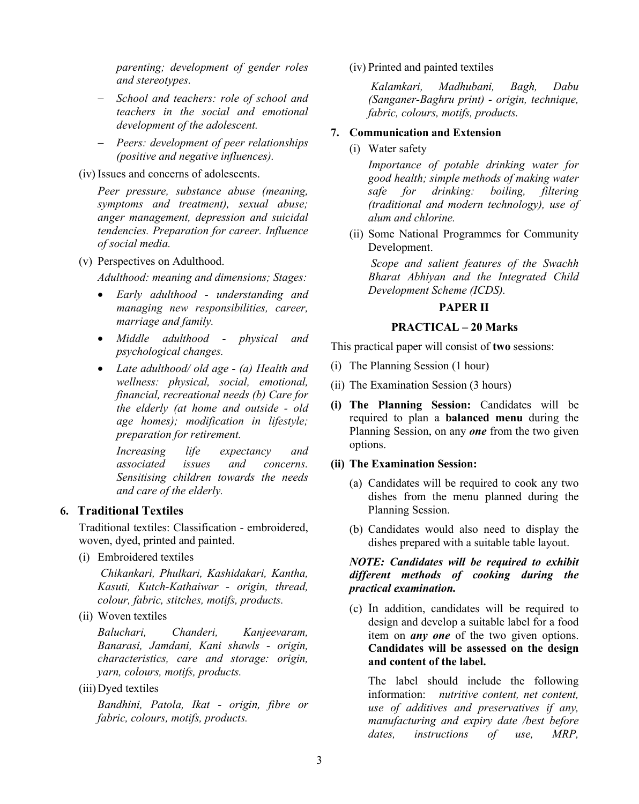*parenting; development of gender roles and stereotypes.* 

- − *School and teachers: role of school and teachers in the social and emotional development of the adolescent.*
- − *Peers: development of peer relationships (positive and negative influences).*
- (iv) Issues and concerns of adolescents.

*Peer pressure, substance abuse (meaning, symptoms and treatment), sexual abuse; anger management, depression and suicidal tendencies. Preparation for career. Influence of social media.* 

(v) Perspectives on Adulthood.

*Adulthood: meaning and dimensions; Stages:*

- *Early adulthood - understanding and managing new responsibilities, career, marriage and family.*
- *Middle adulthood - physical and psychological changes.*
- *Late adulthood/ old age - (a) Health and wellness: physical, social, emotional, financial, recreational needs (b) Care for the elderly (at home and outside - old age homes); modification in lifestyle; preparation for retirement.*

*Increasing life expectancy and associated issues and concerns. Sensitising children towards the needs and care of the elderly.*

## **6. Traditional Textiles**

Traditional textiles: Classification - embroidered, woven, dyed, printed and painted.

(i) Embroidered textiles

*Chikankari, Phulkari, Kashidakari, Kantha, Kasuti, Kutch-Kathaiwar - origin, thread, colour, fabric, stitches, motifs, products.*

(ii) Woven textiles

*Baluchari, Chanderi, Kanjeevaram, Banarasi, Jamdani, Kani shawls - origin, characteristics, care and storage: origin, yarn, colours, motifs, products.*

(iii)Dyed textiles

*Bandhini, Patola, Ikat - origin, fibre or fabric, colours, motifs, products.*

(iv) Printed and painted textiles

*Kalamkari, Madhubani, Bagh, Dabu (Sanganer-Baghru print) - origin, technique, fabric, colours, motifs, products.*

## **7. Communication and Extension**

(i) Water safety

*Importance of potable drinking water for good health; simple methods of making water safe for drinking: boiling, filtering (traditional and modern technology), use of alum and chlorine.* 

(ii) Some National Programmes for Community Development.

*Scope and salient features of the Swachh Bharat Abhiyan and the Integrated Child Development Scheme (ICDS).*

## **PAPER II**

#### **PRACTICAL – 20 Marks**

This practical paper will consist of **two** sessions:

- (i) The Planning Session (1 hour)
- (ii) The Examination Session (3 hours)
- **(i) The Planning Session:** Candidates will be required to plan a **balanced menu** during the Planning Session, on any *one* from the two given options.

#### **(ii) The Examination Session:**

- (a) Candidates will be required to cook any two dishes from the menu planned during the Planning Session.
- (b) Candidates would also need to display the dishes prepared with a suitable table layout.

## *NOTE: Candidates will be required to exhibit different methods of cooking during the practical examination.*

(c) In addition, candidates will be required to design and develop a suitable label for a food item on *any one* of the two given options. **Candidates will be assessed on the design and content of the label.**

The label should include the following information: *nutritive content, net content, use of additives and preservatives if any, manufacturing and expiry date /best before dates, instructions of use, MRP,*